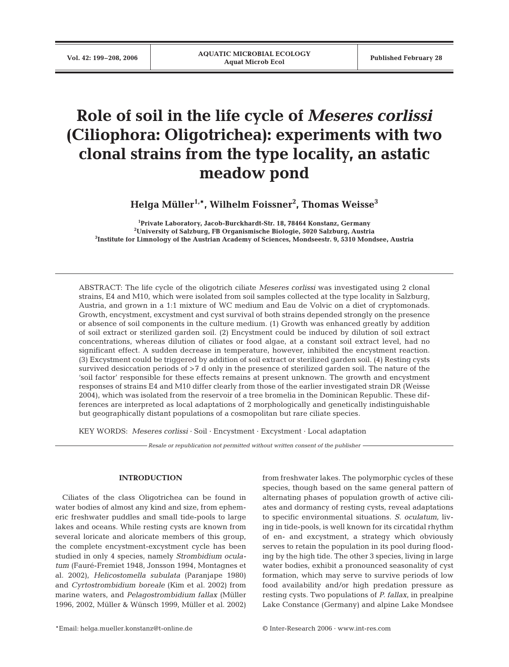# **Role of soil in the life cycle of** *Meseres corlissi* **(Ciliophora: Oligotrichea): experiments with two clonal strains from the type locality, an astatic meadow pond**

**Helga Müller1,\*, Wilhelm Foissner2 , Thomas Weisse3**

**1 Private Laboratory, Jacob-Burckhardt-Str. 18, 78464 Konstanz, Germany 2 University of Salzburg, FB Organismische Biologie, 5020 Salzburg, Austria 3 Institute for Limnology of the Austrian Academy of Sciences, Mondseestr. 9, 5310 Mondsee, Austria**

ABSTRACT: The life cycle of the oligotrich ciliate *Meseres corlissi* was investigated using 2 clonal strains, E4 and M10, which were isolated from soil samples collected at the type locality in Salzburg, Austria, and grown in a 1:1 mixture of WC medium and Eau de Volvic on a diet of cryptomonads. Growth, encystment, excystment and cyst survival of both strains depended strongly on the presence or absence of soil components in the culture medium. (1) Growth was enhanced greatly by addition of soil extract or sterilized garden soil. (2) Encystment could be induced by dilution of soil extract concentrations, whereas dilution of ciliates or food algae, at a constant soil extract level, had no significant effect. A sudden decrease in temperature, however, inhibited the encystment reaction. (3) Excystment could be triggered by addition of soil extract or sterilized garden soil. (4) Resting cysts survived desiccation periods of >7 d only in the presence of sterilized garden soil. The nature of the 'soil factor' responsible for these effects remains at present unknown. The growth and encystment responses of strains E4 and M10 differ clearly from those of the earlier investigated strain DR (Weisse 2004), which was isolated from the reservoir of a tree bromelia in the Dominican Republic. These differences are interpreted as local adaptations of 2 morphologically and genetically indistinguishable but geographically distant populations of a cosmopolitan but rare ciliate species*.* 

KEY WORDS: *Meseres corlissi* · Soil · Encystment · Excystment · Local adaptation

*Resale or republication not permitted without written consent of the publisher*

#### **INTRODUCTION**

Ciliates of the class Oligotrichea can be found in water bodies of almost any kind and size, from ephemeric freshwater puddles and small tide-pools to large lakes and oceans. While resting cysts are known from several loricate and aloricate members of this group, the complete encystment-excystment cycle has been studied in only 4 species, namely *Strombidium oculatum* (Fauré-Fremiet 1948, Jonsson 1994, Montagnes et al. 2002), *Helicostomella subulata* (Paranjape 1980) and *Cyrtostrombidium boreale* (Kim et al. 2002) from marine waters, and *Pelagostrombidium fallax* (Müller 1996, 2002, Müller & Wünsch 1999, Müller et al. 2002) from freshwater lakes. The polymorphic cycles of these species, though based on the same general pattern of alternating phases of population growth of active ciliates and dormancy of resting cysts, reveal adaptations to specific environmental situations. *S. oculatum,* living in tide-pools, is well known for its circatidal rhythm of en- and excystment, a strategy which obviously serves to retain the population in its pool during flooding by the high tide. The other 3 species, living in large water bodies, exhibit a pronounced seasonality of cyst formation, which may serve to survive periods of low food availability and/or high predation pressure as resting cysts. Two populations of *P. fallax*, in prealpine Lake Constance (Germany) and alpine Lake Mondsee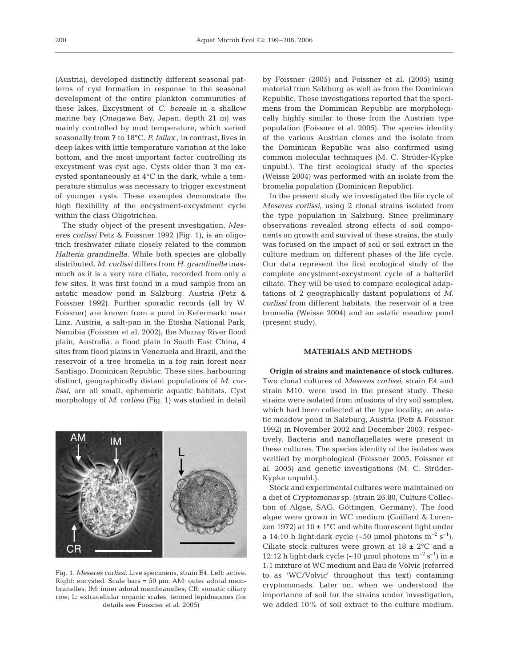(Austria), developed distinctly different seasonal patterns of cyst formation in response to the seasonal development of the entire plankton communities of these lakes. Excystment of *C. boreale* in a shallow marine bay (Onagawa Bay, Japan, depth 21 m) was mainly controlled by mud temperature, which varied seasonally from 7 to 18°C. *P. fallax* , in contrast, lives in deep lakes with little temperature variation at the lake bottom, and the most important factor controlling its excystment was cyst age. Cysts older than 3 mo excysted spontaneously at 4°C in the dark, while a temperature stimulus was necessary to trigger excystment of younger cysts. These examples demonstrate the high flexibility of the encystment-excystment cycle within the class Oligotrichea.

The study object of the present investigation, *Meseres corlissi* Petz & Foissner 1992 (Fig. 1), is an oligotrich freshwater ciliate closely related to the common *Halteria grandinella.* While both species are globally distributed*, M. corlissi* differs from *H. grandinella* inasmuch as it is a very rare ciliate, recorded from only a few sites. It was first found in a mud sample from an astatic meadow pond in Salzburg, Austria (Petz & Foissner 1992). Further sporadic records (all by W. Foissner) are known from a pond in Kefermarkt near Linz, Austria, a salt-pan in the Etosha National Park, Namibia (Foissner et al. 2002), the Murray River flood plain, Australia, a flood plain in South East China, 4 sites from flood plains in Venezuela and Brazil, and the reservoir of a tree bromelia in a fog rain forest near Santiago, Dominican Republic. These sites, harbouring distinct, geographically distant populations of *M. corlissi*, are all small, ephemeric aquatic habitats. Cyst morphology of *M. corlissi* (Fig. 1) was studied in detail



Fig. 1. *Meseres corlissi.* Live specimens, strain E4. Left: active. Right: encysted. Scale bars = 50 µm. AM: outer adoral membranelles; IM: inner adoral membranelles; CR: somatic ciliary row; L: extracellular organic scales, termed lepidosomes (for details see Foissner et al. 2005)

by Foissner (2005) and Foissner et al. (2005) using material from Salzburg as well as from the Dominican Republic. These investigations reported that the specimens from the Dominican Republic are morphologically highly similar to those from the Austrian type population (Foissner et al. 2005). The species identity of the various Austrian clones and the isolate from the Dominican Republic was also confirmed using common molecular techniques (M. C. Strüder-Kypke unpubl.). The first ecological study of the species (Weisse 2004) was performed with an isolate from the bromelia population (Dominican Republic).

In the present study we investigated the life cycle of *Meseres corlissi*, using 2 clonal strains isolated from the type population in Salzburg. Since preliminary observations revealed strong effects of soil components on growth and survival of these strains, the study was focused on the impact of soil or soil extract in the culture medium on different phases of the life cycle. Our data represent the first ecological study of the complete encystment-excystment cycle of a halteriid ciliate. They will be used to compare ecological adaptations of 2 geographically distant populations of *M. corlissi* from different habitats, the reservoir of a tree bromelia (Weisse 2004) and an astatic meadow pond (present study).

#### **MATERIALS AND METHODS**

**Origin of strains and maintenance of stock cultures.** Two clonal cultures of *Meseres corlissi*, strain E4 and strain M10, were used in the present study. These strains were isolated from infusions of dry soil samples, which had been collected at the type locality, an astatic meadow pond in Salzburg, Austria (Petz & Foissner 1992) in November 2002 and December 2003, respectively. Bacteria and nanoflagellates were present in these cultures. The species identity of the isolates was verified by morphological (Foissner 2005, Foissner et al. 2005) and genetic investigations (M. C. Strüder-Kypke unpubl.).

Stock and experimental cultures were maintained on a diet of *Cryptomonas* sp. (strain 26.80, Culture Collection of Algae, SAG, Göttingen, Germany). The food algae were grown in WC medium (Guillard & Lorenzen 1972) at  $10 \pm 1$ °C and white fluorescent light under a 14:10 h light:dark cycle  $({\sim}50 \text{ \mu mol photons m}^{-2} \text{ s}^{-1}).$ Ciliate stock cultures were grown at  $18 \pm 2^{\circ}$ C and a 12:12 h light:dark cycle  $({\sim}10 \text{ \mu mol photons m}^{-2} \text{ s}^{-1})$  in a 1:1 mixture of WC medium and Eau de Volvic (referred to as 'WC/Volvic' throughout this text) containing cryptomonads. Later on, when we understood the importance of soil for the strains under investigation, we added 10% of soil extract to the culture medium.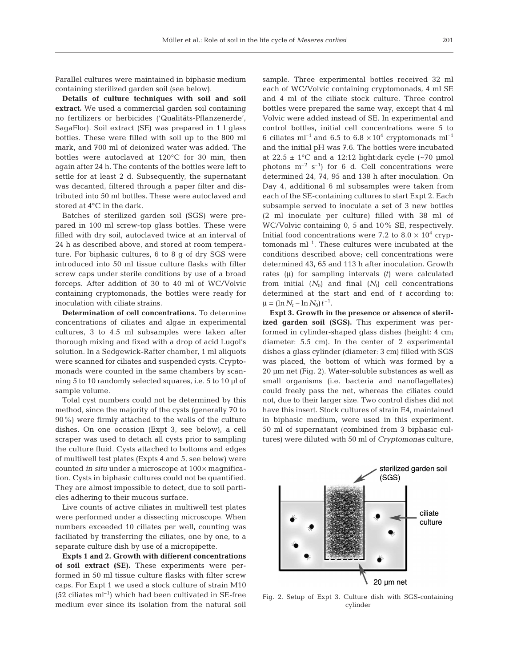Parallel cultures were maintained in biphasic medium containing sterilized garden soil (see below).

**Details of culture techniques with soil and soil extract.** We used a commercial garden soil containing no fertilizers or herbicides ('Qualitäts-Pflanzenerde', SagaFlor). Soil extract (SE) was prepared in 1 l glass bottles. These were filled with soil up to the 800 ml mark, and 700 ml of deionized water was added. The bottles were autoclaved at 120°C for 30 min, then again after 24 h. The contents of the bottles were left to settle for at least 2 d. Subsequently, the supernatant was decanted, filtered through a paper filter and distributed into 50 ml bottles. These were autoclaved and stored at 4°C in the dark.

Batches of sterilized garden soil (SGS) were prepared in 100 ml screw-top glass bottles. These were filled with dry soil, autoclaved twice at an interval of 24 h as described above, and stored at room temperature. For biphasic cultures, 6 to 8 g of dry SGS were introduced into 50 ml tissue culture flasks with filter screw caps under sterile conditions by use of a broad forceps. After addition of 30 to 40 ml of WC/Volvic containing cryptomonads, the bottles were ready for inoculation with ciliate strains.

**Determination of cell concentrations.** To determine concentrations of ciliates and algae in experimental cultures, 3 to 4.5 ml subsamples were taken after thorough mixing and fixed with a drop of acid Lugol's solution. In a Sedgewick-Rafter chamber, 1 ml aliquots were scanned for ciliates and suspended cysts. Cryptomonads were counted in the same chambers by scanning 5 to 10 randomly selected squares, i.e. 5 to 10 µl of sample volume.

Total cyst numbers could not be determined by this method, since the majority of the cysts (generally 70 to 90%) were firmly attached to the walls of the culture dishes. On one occasion (Expt 3, see below), a cell scraper was used to detach all cysts prior to sampling the culture fluid. Cysts attached to bottoms and edges of multiwell test plates (Expts 4 and 5, see below) were counted *in situ* under a microscope at 100× magnification. Cysts in biphasic cultures could not be quantified. They are almost impossible to detect, due to soil particles adhering to their mucous surface.

Live counts of active ciliates in multiwell test plates were performed under a dissecting microscope. When numbers exceeded 10 ciliates per well, counting was faciliated by transferring the ciliates, one by one, to a separate culture dish by use of a micropipette.

**Expts 1 and 2. Growth with different concentrations of soil extract (SE).** These experiments were performed in 50 ml tissue culture flasks with filter screw caps. For Expt 1 we used a stock culture of strain M10  $(52 \text{ ciliates ml}^{-1})$  which had been cultivated in SE-free medium ever since its isolation from the natural soil

sample. Three experimental bottles received 32 ml each of WC/Volvic containing cryptomonads, 4 ml SE and 4 ml of the ciliate stock culture. Three control bottles were prepared the same way, except that 4 ml Volvic were added instead of SE. In experimental and control bottles, initial cell concentrations were 5 to 6 ciliates ml<sup>-1</sup> and 6.5 to 6.8  $\times$  10<sup>4</sup> cryptomonads ml<sup>-1</sup> and the initial pH was 7.6. The bottles were incubated at  $22.5 \pm 1^{\circ}$ C and a 12:12 light:dark cycle (~70 µmol photons  $m^{-2}$  s<sup>-1</sup>) for 6 d. Cell concentrations were determined 24, 74, 95 and 138 h after inoculation. On Day 4, additional 6 ml subsamples were taken from each of the SE-containing cultures to start Expt 2. Each subsample served to inoculate a set of 3 new bottles (2 ml inoculate per culture) filled with 38 ml of WC/Volvic containing 0, 5 and 10% SE, respectively. Initial food concentrations were 7.2 to  $8.0 \times 10^4$  cryptomonads  $ml^{-1}$ . These cultures were incubated at the conditions described above; cell concentrations were determined 43, 65 and 113 h after inoculation. Growth rates (μ) for sampling intervals *(t)* were calculated from initial  $(N_0)$  and final  $(N_t)$  cell concentrations determined at the start and end of *t* according to:  $\mu = (\ln N_t - \ln N_0) t^{-1}.$ 

**Expt 3. Growth in the presence or absence of sterilized garden soil (SGS).** This experiment was performed in cylinder-shaped glass dishes (height: 4 cm; diameter: 5.5 cm). In the center of 2 experimental dishes a glass cylinder (diameter: 3 cm) filled with SGS was placed, the bottom of which was formed by a 20 µm net (Fig. 2). Water-soluble substances as well as small organisms (i.e. bacteria and nanoflagellates) could freely pass the net, whereas the ciliates could not, due to their larger size. Two control dishes did not have this insert. Stock cultures of strain E4, maintained in biphasic medium, were used in this experiment. 50 ml of supernatant (combined from 3 biphasic cultures) were diluted with 50 ml of *Cryptomonas* culture,



Fig. 2. Setup of Expt 3. Culture dish with SGS-containing cylinder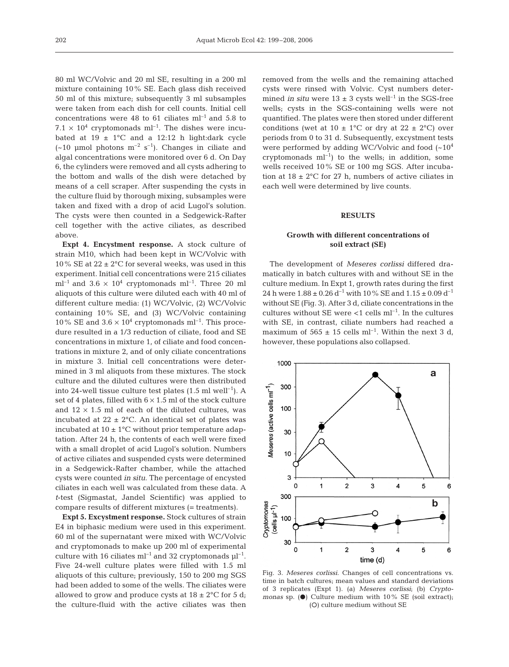80 ml WC/Volvic and 20 ml SE, resulting in a 200 ml mixture containing 10% SE. Each glass dish received 50 ml of this mixture; subsequently 3 ml subsamples were taken from each dish for cell counts. Initial cell concentrations were 48 to 61 ciliates  $ml^{-1}$  and 5.8 to 7.1  $\times$  10<sup>4</sup> cryptomonads ml<sup>-1</sup>. The dishes were incubated at  $19 \pm 1$ °C and a 12:12 h light:dark cycle  $(-10 \text{ \mu mol photons } m^{-2} s^{-1})$ . Changes in ciliate and algal concentrations were monitored over 6 d. On Day 6, the cylinders were removed and all cysts adhering to the bottom and walls of the dish were detached by means of a cell scraper. After suspending the cysts in the culture fluid by thorough mixing, subsamples were taken and fixed with a drop of acid Lugol's solution. The cysts were then counted in a Sedgewick-Rafter cell together with the active ciliates, as described above.

**Expt 4. Encystment response.** A stock culture of strain M10, which had been kept in WC/Volvic with 10% SE at  $22 \pm 2^{\circ}$ C for several weeks, was used in this experiment. Initial cell concentrations were 215 ciliates  $ml^{-1}$  and 3.6  $\times$  10<sup>4</sup> cryptomonads ml<sup>-1</sup>. Three 20 ml aliquots of this culture were diluted each with 40 ml of different culture media: (1) WC/Volvic, (2) WC/Volvic containing 10% SE, and (3) WC/Volvic containing 10% SE and  $3.6 \times 10^4$  cryptomonads ml<sup>-1</sup>. This procedure resulted in a 1/3 reduction of ciliate, food and SE concentrations in mixture 1, of ciliate and food concentrations in mixture 2, and of only ciliate concentrations in mixture 3. Initial cell concentrations were determined in 3 ml aliquots from these mixtures. The stock culture and the diluted cultures were then distributed into 24-well tissue culture test plates  $(1.5 \text{ ml} \text{ well}^{-1})$ . A set of 4 plates, filled with  $6 \times 1.5$  ml of the stock culture and  $12 \times 1.5$  ml of each of the diluted cultures, was incubated at  $22 \pm 2$ °C. An identical set of plates was incubated at  $10 \pm 1$ °C without prior temperature adaptation. After 24 h, the contents of each well were fixed with a small droplet of acid Lugol's solution. Numbers of active ciliates and suspended cysts were determined in a Sedgewick-Rafter chamber, while the attached cysts were counted *in situ*. The percentage of encysted ciliates in each well was calculated from these data. A *t*-test (Sigmastat, Jandel Scientific) was applied to compare results of different mixtures (= treatments).

**Expt 5. Excystment response.** Stock cultures of strain E4 in biphasic medium were used in this experiment. 60 ml of the supernatant were mixed with WC/Volvic and cryptomonads to make up 200 ml of experimental culture with 16 ciliates  $ml^{-1}$  and 32 cryptomonads  $\mu l^{-1}$ . Five 24-well culture plates were filled with 1.5 ml aliquots of this culture; previously, 150 to 200 mg SGS had been added to some of the wells. The ciliates were allowed to grow and produce cysts at  $18 \pm 2^{\circ}$ C for 5 d; the culture-fluid with the active ciliates was then

removed from the wells and the remaining attached cysts were rinsed with Volvic. Cyst numbers determined *in situ* were  $13 \pm 3$  cysts well<sup>-1</sup> in the SGS-free wells; cysts in the SGS-containing wells were not quantified. The plates were then stored under different conditions (wet at  $10 \pm 1$ °C or dry at  $22 \pm 2$ °C) over periods from 0 to 31 d. Subsequently, excystment tests were performed by adding WC/Volvic and food  $\sim 10^4$ cryptomonads  $ml^{-1}$ ) to the wells; in addition, some wells received 10% SE or 100 mg SGS. After incubation at  $18 \pm 2$ °C for 27 h, numbers of active ciliates in each well were determined by live counts.

#### **RESULTS**

## **Growth with different concentrations of soil extract (SE)**

The development of *Meseres corlissi* differed dramatically in batch cultures with and without SE in the culture medium. In Expt 1, growth rates during the first 24 h were  $1.88 \pm 0.26$  d<sup>-1</sup> with 10% SE and  $1.15 \pm 0.09$  d<sup>-1</sup> without SE (Fig. 3). After 3 d, ciliate concentrations in the cultures without SE were  $<$ 1 cells ml<sup>-1</sup>. In the cultures with SE, in contrast, ciliate numbers had reached a maximum of  $565 \pm 15$  cells ml<sup>-1</sup>. Within the next 3 d, however, these populations also collapsed.



Fig. 3. *Meseres corlissi.* Changes of cell concentrations vs. time in batch cultures; mean values and standard deviations of 3 replicates (Expt 1). (a) *Meseres corlissi*; (b) *Cryptomonas* sp. (<sup>a</sup>) Culture medium with 10% SE (soil extract); (O) culture medium without SE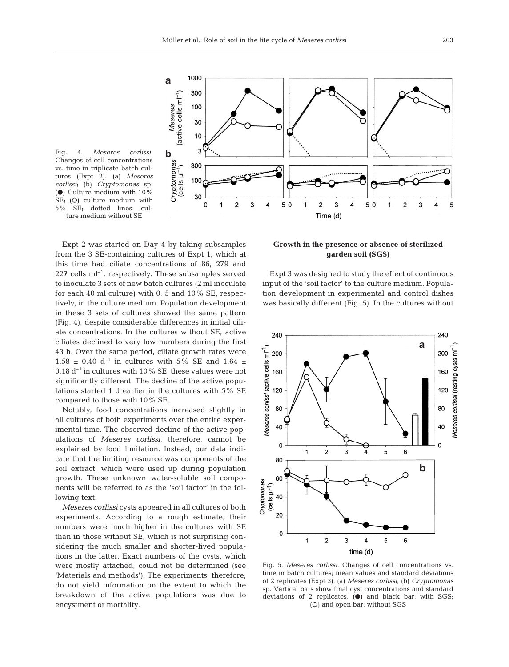

Fig. 4. *Meseres corlissi.* Changes of cell concentrations vs. time in triplicate batch cultures (Expt 2). (a) *Meseres corlissi*; (b) *Cryptomonas* sp. ( $\bullet$ ) Culture medium with 10% SE; (O) culture medium with 5% SE; dotted lines: culture medium without SE

Expt 2 was started on Day 4 by taking subsamples from the 3 SE-containing cultures of Expt 1, which at this time had ciliate concentrations of 86, 279 and  $227$  cells ml<sup>-1</sup>, respectively. These subsamples served to inoculate 3 sets of new batch cultures (2 ml inoculate for each 40 ml culture) with 0, 5 and 10% SE, respectively, in the culture medium. Population development in these 3 sets of cultures showed the same pattern (Fig. 4), despite considerable differences in initial ciliate concentrations. In the cultures without SE, active ciliates declined to very low numbers during the first 43 h. Over the same period, ciliate growth rates were 1.58  $\pm$  0.40 d<sup>-1</sup> in cultures with 5% SE and 1.64  $\pm$ 0.18  $d^{-1}$  in cultures with 10% SE; these values were not significantly different. The decline of the active populations started 1 d earlier in the cultures with 5% SE compared to those with 10% SE.

Notably, food concentrations increased slightly in all cultures of both experiments over the entire experimental time. The observed decline of the active populations of *Meseres corlissi*, therefore, cannot be explained by food limitation. Instead, our data indicate that the limiting resource was components of the soil extract, which were used up during population growth. These unknown water-soluble soil components will be referred to as the 'soil factor' in the following text.

*Meseres corlissi* cysts appeared in all cultures of both experiments. According to a rough estimate, their numbers were much higher in the cultures with SE than in those without SE, which is not surprising considering the much smaller and shorter-lived populations in the latter. Exact numbers of the cysts, which were mostly attached, could not be determined (see 'Materials and methods'). The experiments, therefore, do not yield information on the extent to which the breakdown of the active populations was due to encystment or mortality.

## **Growth in the presence or absence of sterilized garden soil (SGS)**

Expt 3 was designed to study the effect of continuous input of the 'soil factor' to the culture medium. Population development in experimental and control dishes was basically different (Fig. 5). In the cultures without



Fig. 5. *Meseres corlissi.* Changes of cell concentrations vs. time in batch cultures; mean values and standard deviations of 2 replicates (Expt 3). (a) *Meseres corlissi*; (b) *Cryptomonas* sp. Vertical bars show final cyst concentrations and standard deviations of 2 replicates.  $\left( \bullet \right)$  and black bar: with SGS; (O) and open bar: without SGS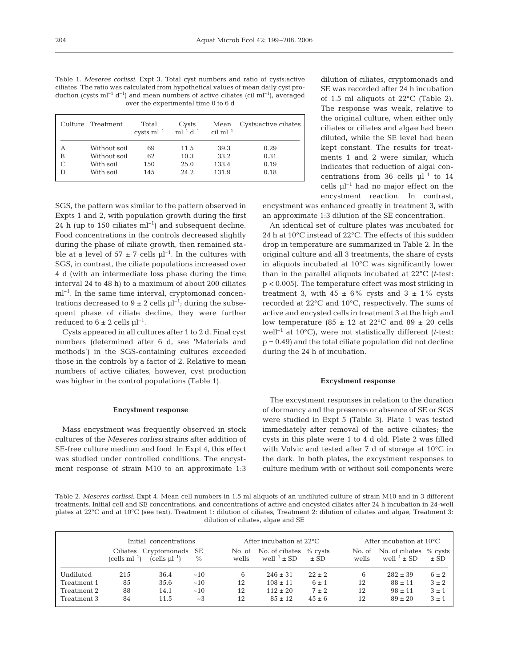Table 1. *Meseres corlissi.* Expt 3. Total cyst numbers and ratio of cysts:active ciliates. The ratio was calculated from hypothetical values of mean daily cyst production (cysts  $ml^{-1} d^{-1}$ ) and mean numbers of active ciliates (cil ml<sup>-1</sup>), averaged over the experimental time 0 to 6 d

|   | Culture Treatment | Total<br>cysts $ml^{-1}$ $ml^{-1}$ $d^{-1}$ | Cysts | Mean<br>$\text{cil } \text{ml}^{-1}$ | Cysts: active ciliates |
|---|-------------------|---------------------------------------------|-------|--------------------------------------|------------------------|
| А | Without soil      | 69                                          | 11.5  | 39.3                                 | 0.29                   |
| B | Without soil      | 62                                          | 10.3  | 33.2                                 | 0.31                   |
|   | With soil         | 150                                         | 25.0  | 133.4                                | 0.19                   |
| D | With soil         | 145                                         | 24.2. | 131.9                                | 0.18                   |

SGS, the pattern was similar to the pattern observed in Expts 1 and 2, with population growth during the first 24 h (up to 150 ciliates  $ml^{-1}$ ) and subsequent decline. Food concentrations in the controls decreased slightly during the phase of ciliate growth, then remained stable at a level of  $57 \pm 7$  cells  $\mu$ l<sup>-1</sup>. In the cultures with SGS, in contrast, the ciliate populations increased over 4 d (with an intermediate loss phase during the time interval 24 to 48 h) to a maximum of about 200 ciliates  $ml<sup>-1</sup>$ . In the same time interval, cryptomonad concentrations decreased to  $9 \pm 2$  cells  $\mu$ <sup>-1</sup>; during the subsequent phase of ciliate decline, they were further reduced to  $6 \pm 2$  cells  $\mu$ <sup>-1</sup>.

Cysts appeared in all cultures after 1 to 2 d. Final cyst numbers (determined after 6 d, see 'Materials and methods') in the SGS-containing cultures exceeded those in the controls by a factor of 2. Relative to mean numbers of active ciliates, however, cyst production was higher in the control populations (Table 1).

#### **Encystment response**

Mass encystment was frequently observed in stock cultures of the *Meseres corlissi* strains after addition of SE-free culture medium and food. In Expt 4, this effect was studied under controlled conditions. The encystment response of strain M10 to an approximate 1:3

dilution of ciliates, cryptomonads and SE was recorded after 24 h incubation of 1.5 ml aliquots at 22°C (Table 2). The response was weak, relative to the original culture, when either only ciliates or ciliates and algae had been diluted, while the SE level had been kept constant. The results for treatments 1 and 2 were similar, which indicates that reduction of algal concentrations from 36 cells  $\mu$ <sup>-1</sup> to 14 cells  $\mu$ l<sup>-1</sup> had no major effect on the encystment reaction. In contrast,

encystment was enhanced greatly in treatment 3, with an approximate 1:3 dilution of the SE concentration.

An identical set of culture plates was incubated for 24 h at 10°C instead of 22°C. The effects of this sudden drop in temperature are summarized in Table 2. In the original culture and all 3 treatments, the share of cysts in aliquots incubated at 10°C was significantly lower than in the parallel aliquots incubated at 22°C (*t*-test: p < 0.005). The temperature effect was most striking in treatment 3, with  $45 \pm 6\%$  cysts and  $3 \pm 1\%$  cysts recorded at 22°C and 10°C, respectively. The sums of active and encysted cells in treatment 3 at the high and low temperature  $(85 \pm 12 \text{ at } 22^{\circ}\text{C} \text{ and } 89 \pm 20 \text{ cells})$ well<sup>-1</sup> at 10 $^{\circ}$ C), were not statistically different (*t*-test: p = 0.49) and the total ciliate population did not decline during the 24 h of incubation.

#### **Excystment response**

The excystment responses in relation to the duration of dormancy and the presence or absence of SE or SGS were studied in Expt 5 (Table 3). Plate 1 was tested immediately after removal of the active ciliates; the cysts in this plate were 1 to 4 d old. Plate 2 was filled with Volvic and tested after 7 d of storage at 10°C in the dark. In both plates, the excystment responses to culture medium with or without soil components were

Table 2. *Meseres corlissi.* Expt 4. Mean cell numbers in 1.5 ml aliquots of an undiluted culture of strain M10 and in 3 different treatments. Initial cell and SE concentrations, and concentrations of active and encysted ciliates after 24 h incubation in 24-well plates at 22°C and at 10°C (see text). Treatment 1: dilution of ciliates, Treatment 2: dilution of ciliates and algae, Treatment 3: dilution of ciliates, algae and SE

|             | Initial concentrations |                                                           |      | After incubation at $22^{\circ}$ C |                                                        |            | After incubation at $10^{\circ}$ C |                                                       |                       |
|-------------|------------------------|-----------------------------------------------------------|------|------------------------------------|--------------------------------------------------------|------------|------------------------------------|-------------------------------------------------------|-----------------------|
|             |                        | Ciliates Cryptomonads SE<br>$(cells ml-1)$ $(cells ul-1)$ | $\%$ | wells                              | No. of No. of ciliates % cysts<br>$well^{-1}$ $\pm$ SD | $\pm$ SD   | wells                              | No. of No. of ciliates<br>well <sup>-1</sup> $\pm$ SD | $%$ cysts<br>$\pm$ SD |
| Undiluted   | 215                    | 36.4                                                      | ~10  | 6                                  | $246 \pm 31$                                           | $22 + 2$   | 6                                  | $282 \pm 39$                                          | $6 \pm 2$             |
| Treatment 1 | 85                     | 35.6                                                      | ~10  | 12                                 | $108 \pm 11$                                           | $6 \pm 1$  | 12                                 | $88 \pm 11$                                           | $3 \pm 2$             |
| Treatment 2 | 88                     | 14.1                                                      | ~10  | 12                                 | $112 \pm 20$                                           | $7 \pm 2$  | 12                                 | $.98 \pm 11$                                          | $3 \pm 1$             |
| Treatment 3 | 84                     | 11.5                                                      | ~23  | 12                                 | $8.5 + 12$                                             | $45 \pm 6$ | 12                                 | $89 + 20$                                             | $3 \pm 1$             |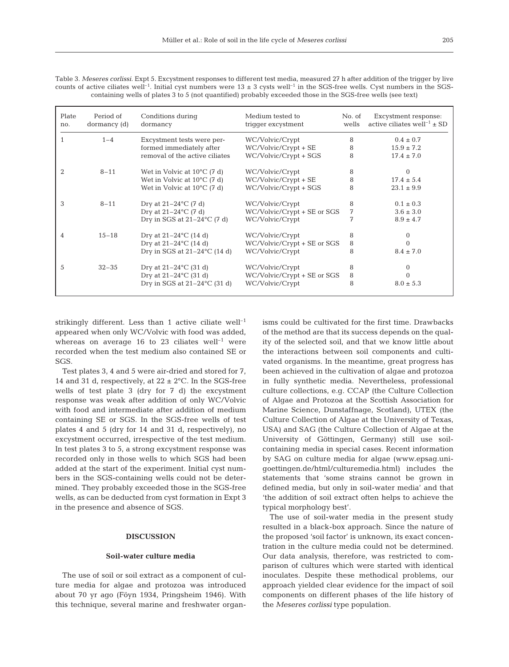Table 3. Meseres corlissi. Expt 5. Excystment responses to different test media, measured 27 h after addition of the trigger by live counts of active ciliates well<sup>-1</sup>. Initial cyst numbers were  $13 \pm 3$  cysts well<sup>-1</sup> in the SGS-free wells. Cyst numbers in the SGScontaining wells of plates 3 to 5 (not quantified) probably exceeded those in the SGS-free wells (see text)

| Plate<br>no. | Period of<br>dormancy (d) | Conditions during<br>dormancy         | Medium tested to<br>triqqer excystment | No. of<br>wells | Excystment response:<br>active ciliates well <sup>-1</sup> $\pm$ SD |
|--------------|---------------------------|---------------------------------------|----------------------------------------|-----------------|---------------------------------------------------------------------|
|              | $1 - 4$                   | Excystment tests were per-            | WC/Volvic/Crypt                        | 8               | $0.4 \pm 0.7$                                                       |
|              |                           | formed immediately after              | WC/Volvic/Crypt + SE                   | 8               | $15.9 \pm 7.2$                                                      |
|              |                           | removal of the active ciliates        | WC/Volvic/Crypt + SGS                  | 8               | $17.4 \pm 7.0$                                                      |
| 2            | $8 - 11$                  | Wet in Volvic at $10^{\circ}$ C (7 d) | WC/Volvic/Crypt                        | 8               | 0                                                                   |
|              |                           | Wet in Volvic at $10^{\circ}$ C (7 d) | WC/Volvic/Crypt + SE                   | 8               | $17.4 \pm 5.4$                                                      |
|              |                           | Wet in Volvic at $10^{\circ}$ C (7 d) | WC/Volvic/Crypt + SGS                  | 8               | $23.1 \pm 9.9$                                                      |
| 3            | $8 - 11$                  | Dry at $21-24$ °C (7 d)               | WC/Volvic/Crypt                        | 8               | $0.1 \pm 0.3$                                                       |
|              |                           | Dry at $21-24$ °C (7 d)               | WC/Volvic/Crypt + SE or SGS            | 7               | $3.6 \pm 3.0$                                                       |
|              |                           | Dry in SGS at $21-24$ °C (7 d)        | WC/Volvic/Crypt                        | 7               | $8.9 \pm 4.7$                                                       |
| 4            | $15 - 18$                 | Dry at $21-24$ °C (14 d)              | WC/Volvic/Crypt                        | 8               | $\Omega$                                                            |
|              |                           | Dry at $21-24$ °C (14 d)              | WC/Volvic/Crypt + SE or SGS            | 8               |                                                                     |
|              |                           | Dry in SGS at $21-24$ °C (14 d)       | WC/Volvic/Crypt                        | 8               | $8.4 \pm 7.0$                                                       |
| 5            | $32 - 35$                 | Dry at $21-24$ °C (31 d)              | WC/Volvic/Crypt                        | 8               | $\Omega$                                                            |
|              |                           | Dry at $21-24$ °C (31 d)              | WC/Volvic/Crypt + SE or SGS            | 8               |                                                                     |
|              |                           | Dry in SGS at $21-24$ °C (31 d)       | WC/Volvic/Crypt                        | 8               | $8.0 \pm 5.3$                                                       |

strikingly different. Less than 1 active ciliate well<sup>-1</sup> appeared when only WC/Volvic with food was added, whereas on average 16 to 23 ciliates well<sup>-1</sup> were recorded when the test medium also contained SE or SGS.

Test plates 3, 4 and 5 were air-dried and stored for 7, 14 and 31 d, respectively, at  $22 \pm 2^{\circ}$ C. In the SGS-free wells of test plate 3 (dry for 7 d) the excystment response was weak after addition of only WC/Volvic with food and intermediate after addition of medium containing SE or SGS. In the SGS-free wells of test plates 4 and 5 (dry for 14 and 31 d, respectively), no excystment occurred, irrespective of the test medium. In test plates 3 to 5, a strong excystment response was recorded only in those wells to which SGS had been added at the start of the experiment. Initial cyst numbers in the SGS-containing wells could not be determined. They probably exceeded those in the SGS-free wells, as can be deducted from cyst formation in Expt 3 in the presence and absence of SGS.

## **DISCUSSION**

#### **Soil-water culture media**

The use of soil or soil extract as a component of culture media for algae and protozoa was introduced about 70 yr ago (Föyn 1934, Pringsheim 1946). With this technique, several marine and freshwater organisms could be cultivated for the first time. Drawbacks of the method are that its success depends on the quality of the selected soil, and that we know little about the interactions between soil components and cultivated organisms. In the meantime, great progress has been achieved in the cultivation of algae and protozoa in fully synthetic media. Nevertheless, professional culture collections, e.g. CCAP (the Culture Collection of Algae and Protozoa at the Scottish Association for Marine Science, Dunstaffnage, Scotland), UTEX (the Culture Collection of Algae at the University of Texas, USA) and SAG (the Culture Collection of Algae at the University of Göttingen, Germany) still use soilcontaining media in special cases. Recent information by SAG on culture media for algae (www.epsag.unigoettingen.de/html/culturemedia.html) includes the statements that 'some strains cannot be grown in defined media, but only in soil-water media' and that 'the addition of soil extract often helps to achieve the typical morphology best'.

The use of soil-water media in the present study resulted in a black-box approach. Since the nature of the proposed 'soil factor' is unknown, its exact concentration in the culture media could not be determined. Our data analysis, therefore, was restricted to comparison of cultures which were started with identical inoculates. Despite these methodical problems, our approach yielded clear evidence for the impact of soil components on different phases of the life history of the *Meseres corlissi* type population.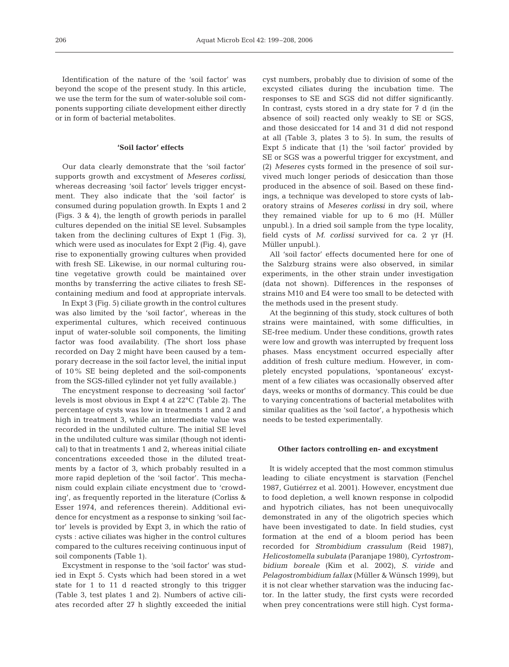Identification of the nature of the 'soil factor' was beyond the scope of the present study. In this article, we use the term for the sum of water-soluble soil components supporting ciliate development either directly or in form of bacterial metabolites.

## **'Soil factor' effects**

Our data clearly demonstrate that the 'soil factor' supports growth and excystment of *Meseres corlissi,* whereas decreasing 'soil factor' levels trigger encystment. They also indicate that the 'soil factor' is consumed during population growth. In Expts 1 and 2 (Figs. 3 & 4), the length of growth periods in parallel cultures depended on the initial SE level. Subsamples taken from the declining cultures of Expt 1 (Fig. 3), which were used as inoculates for Expt 2 (Fig. 4), gave rise to exponentially growing cultures when provided with fresh SE. Likewise, in our normal culturing routine vegetative growth could be maintained over months by transferring the active ciliates to fresh SEcontaining medium and food at appropriate intervals.

In Expt 3 (Fig. 5) ciliate growth in the control cultures was also limited by the 'soil factor', whereas in the experimental cultures, which received continuous input of water-soluble soil components, the limiting factor was food availability. (The short loss phase recorded on Day 2 might have been caused by a temporary decrease in the soil factor level, the initial input of 10% SE being depleted and the soil-components from the SGS-filled cylinder not yet fully available.)

The encystment response to decreasing 'soil factor' levels is most obvious in Expt 4 at 22°C (Table 2). The percentage of cysts was low in treatments 1 and 2 and high in treatment 3, while an intermediate value was recorded in the undiluted culture. The initial SE level in the undiluted culture was similar (though not identical) to that in treatments 1 and 2, whereas initial ciliate concentrations exceeded those in the diluted treatments by a factor of 3, which probably resulted in a more rapid depletion of the 'soil factor'. This mechanism could explain ciliate encystment due to 'crowding', as frequently reported in the literature (Corliss & Esser 1974, and references therein). Additional evidence for encystment as a response to sinking 'soil factor' levels is provided by Expt 3, in which the ratio of cysts : active ciliates was higher in the control cultures compared to the cultures receiving continuous input of soil components (Table 1).

Excystment in response to the 'soil factor' was studied in Expt 5. Cysts which had been stored in a wet state for 1 to 11 d reacted strongly to this trigger (Table 3, test plates 1 and 2). Numbers of active ciliates recorded after 27 h slightly exceeded the initial

cyst numbers, probably due to division of some of the excysted ciliates during the incubation time. The responses to SE and SGS did not differ significantly. In contrast, cysts stored in a dry state for 7 d (in the absence of soil) reacted only weakly to SE or SGS, and those desiccated for 14 and 31 d did not respond at all (Table 3, plates 3 to 5). In sum, the results of Expt 5 indicate that (1) the 'soil factor' provided by SE or SGS was a powerful trigger for excystment, and (2) *Meseres* cysts formed in the presence of soil survived much longer periods of desiccation than those produced in the absence of soil. Based on these findings, a technique was developed to store cysts of laboratory strains of *Meseres corlissi* in dry soil, where they remained viable for up to 6 mo (H. Müller unpubl.). In a dried soil sample from the type locality, field cysts of *M. corlissi* survived for ca. 2 yr (H. Müller unpubl.).

All 'soil factor' effects documented here for one of the Salzburg strains were also observed, in similar experiments, in the other strain under investigation (data not shown). Differences in the responses of strains M10 and E4 were too small to be detected with the methods used in the present study.

At the beginning of this study, stock cultures of both strains were maintained, with some difficulties, in SE-free medium. Under these conditions, growth rates were low and growth was interrupted by frequent loss phases. Mass encystment occurred especially after addition of fresh culture medium. However, in completely encysted populations, 'spontaneous' excystment of a few ciliates was occasionally observed after days, weeks or months of dormancy. This could be due to varying concentrations of bacterial metabolites with similar qualities as the 'soil factor', a hypothesis which needs to be tested experimentally.

## **Other factors controlling en- and excystment**

It is widely accepted that the most common stimulus leading to ciliate encystment is starvation (Fenchel 1987, Gutiérrez et al. 2001). However, encystment due to food depletion, a well known response in colpodid and hypotrich ciliates, has not been unequivocally demonstrated in any of the oligotrich species which have been investigated to date. In field studies, cyst formation at the end of a bloom period has been recorded for *Strombidium crassulum* (Reid 1987), *Helicostomella subulata* (Paranjape 1980), *Cyrtostrombidium boreale* (Kim et al. 2002), *S. viride* and *Pelagostrombidium fallax* (Müller & Wünsch 1999), but it is not clear whether starvation was the inducing factor. In the latter study, the first cysts were recorded when prey concentrations were still high. Cyst forma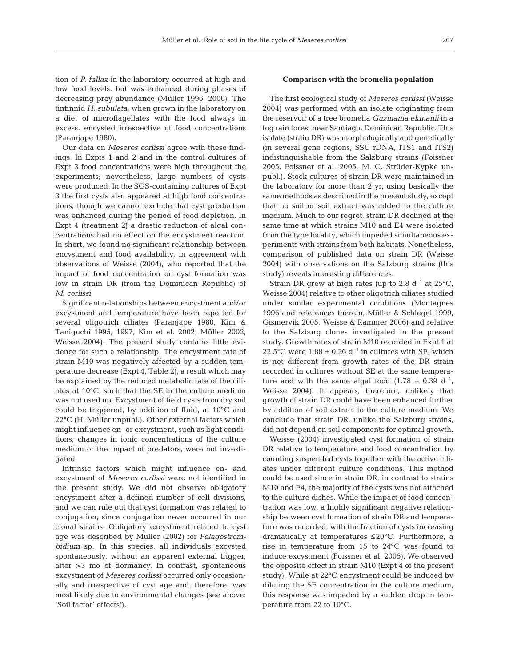tion of *P. fallax* in the laboratory occurred at high and low food levels, but was enhanced during phases of decreasing prey abundance (Müller 1996, 2000). The tintinnid *H. subulata,* when grown in the laboratory on a diet of microflagellates with the food always in excess, encysted irrespective of food concentrations (Paranjape 1980).

Our data on *Meseres corlissi* agree with these findings. In Expts 1 and 2 and in the control cultures of Expt 3 food concentrations were high throughout the experiments; nevertheless, large numbers of cysts were produced. In the SGS-containing cultures of Expt 3 the first cysts also appeared at high food concentrations, though we cannot exclude that cyst production was enhanced during the period of food depletion. In Expt 4 (treatment 2) a drastic reduction of algal concentrations had no effect on the encystment reaction. In short, we found no significant relationship between encystment and food availability, in agreement with observations of Weisse (2004), who reported that the impact of food concentration on cyst formation was low in strain DR (from the Dominican Republic) of *M. corlissi*.

Significant relationships between encystment and/or excystment and temperature have been reported for several oligotrich ciliates (Paranjape 1980, Kim & Taniguchi 1995, 1997, Kim et al. 2002, Müller 2002, Weisse 2004). The present study contains little evidence for such a relationship. The encystment rate of strain M10 was negatively affected by a sudden temperature decrease (Expt 4, Table 2), a result which may be explained by the reduced metabolic rate of the ciliates at 10°C, such that the SE in the culture medium was not used up. Excystment of field cysts from dry soil could be triggered, by addition of fluid, at 10°C and 22°C (H. Müller unpubl.). Other external factors which might influence en- or excystment, such as light conditions, changes in ionic concentrations of the culture medium or the impact of predators, were not investigated.

Intrinsic factors which might influence en- and excystment of *Meseres corlissi* were not identified in the present study. We did not observe obligatory encystment after a defined number of cell divisions, and we can rule out that cyst formation was related to conjugation, since conjugation never occurred in our clonal strains. Obligatory excystment related to cyst age was described by Müller (2002) for *Pelagostrombidium* sp*.* In this species, all individuals excysted spontaneously, without an apparent external trigger, after >3 mo of dormancy. In contrast, spontaneous excystment of *Meseres corlissi* occurred only occasionally and irrespective of cyst age and, therefore, was most likely due to environmental changes (see above: 'Soil factor' effects').

#### **Comparison with the bromelia population**

The first ecological study of *Meseres corlissi* (Weisse 2004) was performed with an isolate originating from the reservoir of a tree bromelia *Guzmania ekmanii* in a fog rain forest near Santiago, Dominican Republic. This isolate (strain DR) was morphologically and genetically (in several gene regions, SSU rDNA, ITS1 and ITS2) indistinguishable from the Salzburg strains (Foissner 2005, Foissner et al. 2005, M. C. Strüder-Kypke unpubl.). Stock cultures of strain DR were maintained in the laboratory for more than 2 yr, using basically the same methods as described in the present study, except that no soil or soil extract was added to the culture medium. Much to our regret, strain DR declined at the same time at which strains M10 and E4 were isolated from the type locality, which impeded simultaneous experiments with strains from both habitats. Nonetheless, comparison of published data on strain DR (Weisse 2004) with observations on the Salzburg strains (this study) reveals interesting differences.

Strain DR grew at high rates (up to 2.8  $d^{-1}$  at 25°C, Weisse 2004) relative to other oligotrich ciliates studied under similar experimental conditions (Montagnes 1996 and references therein, Müller & Schlegel 1999, Gismervik 2005, Weisse & Rammer 2006) and relative to the Salzburg clones investigated in the present study. Growth rates of strain M10 recorded in Expt 1 at 22.5°C were  $1.88 \pm 0.26$  d<sup>-1</sup> in cultures with SE, which is not different from growth rates of the DR strain recorded in cultures without SE at the same temperature and with the same algal food  $(1.78 \pm 0.39 \text{ d}^{-1})$ , Weisse 2004). It appears, therefore, unlikely that growth of strain DR could have been enhanced further by addition of soil extract to the culture medium. We conclude that strain DR, unlike the Salzburg strains, did not depend on soil components for optimal growth.

Weisse (2004) investigated cyst formation of strain DR relative to temperature and food concentration by counting suspended cysts together with the active ciliates under different culture conditions. This method could be used since in strain DR, in contrast to strains M10 and E4, the majority of the cysts was not attached to the culture dishes. While the impact of food concentration was low, a highly significant negative relationship between cyst formation of strain DR and temperature was recorded, with the fraction of cysts increasing dramatically at temperatures ≤20°C. Furthermore, a rise in temperature from 15 to 24°C was found to induce excystment (Foissner et al. 2005). We observed the opposite effect in strain M10 (Expt 4 of the present study). While at 22°C encystment could be induced by diluting the SE concentration in the culture medium, this response was impeded by a sudden drop in temperature from 22 to 10°C.